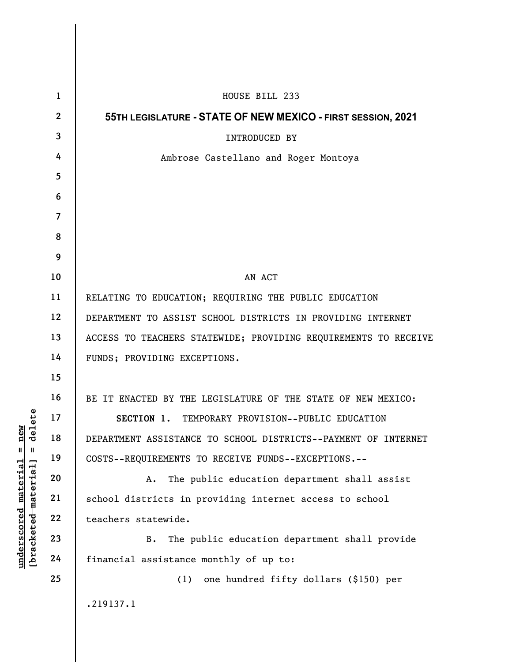|                                                                                                           | $\mathbf{1}$   | HOUSE BILL 233                                                  |
|-----------------------------------------------------------------------------------------------------------|----------------|-----------------------------------------------------------------|
| i new<br>delete<br>$\mathsf{I}$<br>$\mathbf{I}$<br><u>material</u><br>[bracketed material]<br>underscored | $\mathbf{2}$   | 55TH LEGISLATURE - STATE OF NEW MEXICO - FIRST SESSION, 2021    |
|                                                                                                           | $\mathbf{3}$   | INTRODUCED BY                                                   |
|                                                                                                           | 4              | Ambrose Castellano and Roger Montoya                            |
|                                                                                                           | $\overline{5}$ |                                                                 |
|                                                                                                           | 6              |                                                                 |
|                                                                                                           | $\overline{7}$ |                                                                 |
|                                                                                                           | 8              |                                                                 |
|                                                                                                           | 9              |                                                                 |
|                                                                                                           | 10             | AN ACT                                                          |
|                                                                                                           | 11             | RELATING TO EDUCATION; REQUIRING THE PUBLIC EDUCATION           |
|                                                                                                           | 12             | DEPARTMENT TO ASSIST SCHOOL DISTRICTS IN PROVIDING INTERNET     |
|                                                                                                           | 13             | ACCESS TO TEACHERS STATEWIDE; PROVIDING REQUIREMENTS TO RECEIVE |
|                                                                                                           | 14             | FUNDS; PROVIDING EXCEPTIONS.                                    |
|                                                                                                           | 15             |                                                                 |
|                                                                                                           | 16             | BE IT ENACTED BY THE LEGISLATURE OF THE STATE OF NEW MEXICO:    |
|                                                                                                           | 17             | SECTION 1. TEMPORARY PROVISION--PUBLIC EDUCATION                |
|                                                                                                           | 18             | DEPARTMENT ASSISTANCE TO SCHOOL DISTRICTS--PAYMENT OF INTERNET  |
|                                                                                                           | 19             | COSTS--REQUIREMENTS TO RECEIVE FUNDS--EXCEPTIONS.--             |
|                                                                                                           | 20             | The public education department shall assist<br>A.              |
|                                                                                                           | 21             | school districts in providing internet access to school         |
|                                                                                                           | 22             | teachers statewide.                                             |
|                                                                                                           | 23             | The public education department shall provide<br><b>B.</b>      |
|                                                                                                           | 24             | financial assistance monthly of up to:                          |
|                                                                                                           | 25             | one hundred fifty dollars (\$150) per<br>(1)                    |
|                                                                                                           |                | .219137.1                                                       |
|                                                                                                           |                |                                                                 |